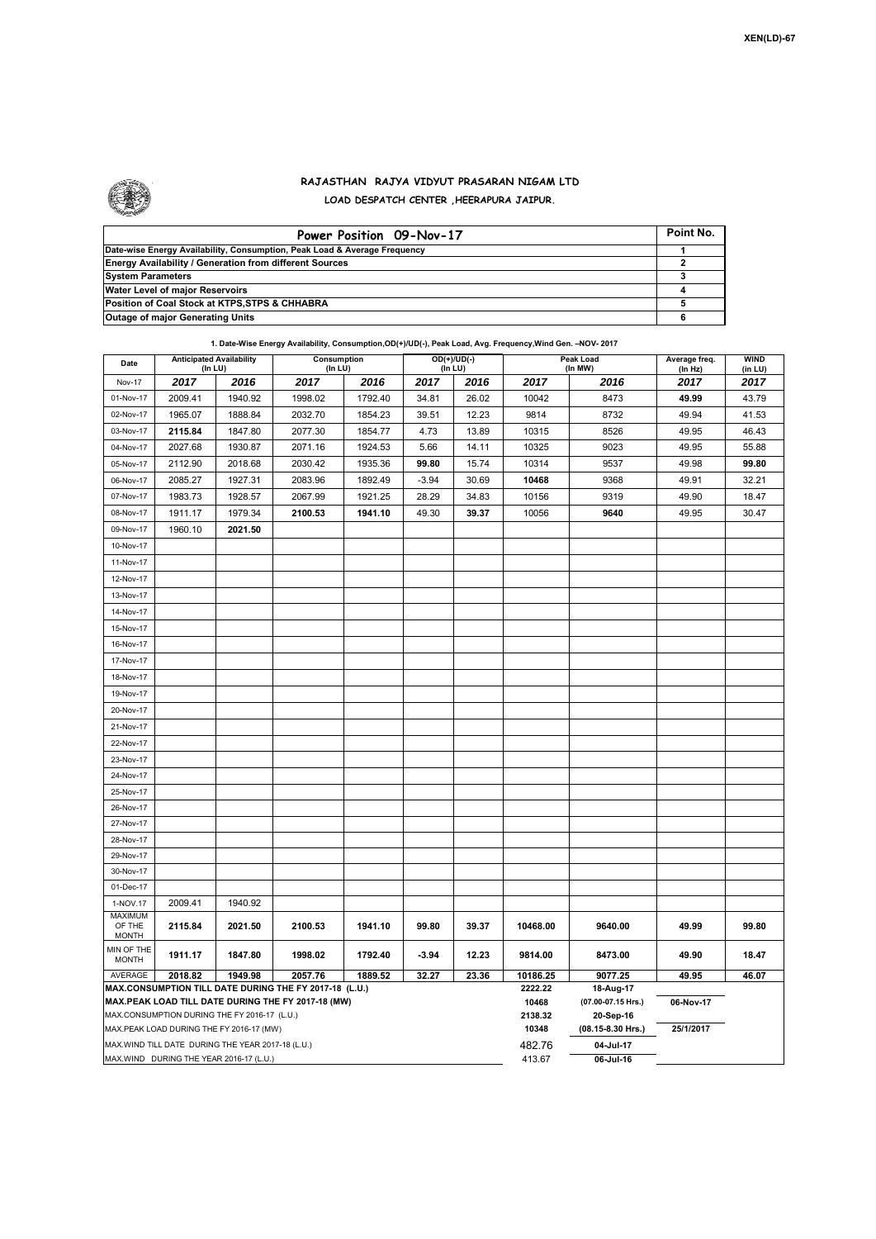

## **RAJASTHAN RAJYA VIDYUT PRASARAN NIGAM LTD LOAD DESPATCH CENTER ,HEERAPURA JAIPUR.**

| Power Position 09-Nov-17                                                  | Point No. |
|---------------------------------------------------------------------------|-----------|
| Date-wise Energy Availability, Consumption, Peak Load & Average Frequency |           |
| <b>Energy Availability / Generation from different Sources</b>            |           |
| <b>System Parameters</b>                                                  |           |
| Water Level of major Reservoirs                                           |           |
| Position of Coal Stock at KTPS, STPS & CHHABRA                            |           |
| <b>Outage of major Generating Units</b>                                   |           |

|                            |                                            |         | 1. Date-Wise Energy Availability, Consumption, OD(+)/UD(-), Peak Load, Avg. Frequency, Wind Gen. - NOV-2017  |         |                          |       |                  |                                 |                          |                        |
|----------------------------|--------------------------------------------|---------|--------------------------------------------------------------------------------------------------------------|---------|--------------------------|-------|------------------|---------------------------------|--------------------------|------------------------|
| Date                       | <b>Anticipated Availability</b><br>(In LU) |         | Consumption<br>$($ In LU $)$                                                                                 |         | $OD(+)/UD(-)$<br>(In LU) |       |                  | Peak Load<br>(In MW)            | Average freq.<br>(In Hz) | <b>WIND</b><br>(in LU) |
| Nov-17                     | 2017                                       | 2016    | 2017                                                                                                         | 2016    | 2017                     | 2016  | 2017             | 2016                            | 2017                     | 2017                   |
| 01-Nov-17                  | 2009.41                                    | 1940.92 | 1998.02                                                                                                      | 1792.40 | 34.81                    | 26.02 | 10042            | 8473                            | 49.99                    | 43.79                  |
| 02-Nov-17                  | 1965.07                                    | 1888.84 | 2032.70                                                                                                      | 1854.23 | 39.51                    | 12.23 | 9814             | 8732                            | 49.94                    | 41.53                  |
| 03-Nov-17                  | 2115.84                                    | 1847.80 | 2077.30                                                                                                      | 1854.77 | 4.73                     | 13.89 | 10315            | 8526                            | 49.95                    | 46.43                  |
| 04-Nov-17                  | 2027.68                                    | 1930.87 | 2071.16                                                                                                      | 1924.53 | 5.66                     | 14.11 | 10325            | 9023                            | 49.95                    | 55.88                  |
| 05-Nov-17                  | 2112.90                                    | 2018.68 | 2030.42                                                                                                      | 1935.36 | 99.80                    | 15.74 | 10314            | 9537                            | 49.98                    | 99.80                  |
| 06-Nov-17                  | 2085.27                                    | 1927.31 | 2083.96                                                                                                      | 1892.49 | $-3.94$                  | 30.69 | 10468            | 9368                            | 49.91                    | 32.21                  |
| 07-Nov-17                  | 1983.73                                    | 1928.57 | 2067.99                                                                                                      | 1921.25 | 28.29                    | 34.83 | 10156            | 9319                            | 49.90                    | 18.47                  |
| 08-Nov-17                  | 1911.17                                    | 1979.34 | 2100.53                                                                                                      | 1941.10 | 49.30                    | 39.37 | 10056            | 9640                            | 49.95                    | 30.47                  |
| 09-Nov-17                  | 1960.10                                    | 2021.50 |                                                                                                              |         |                          |       |                  |                                 |                          |                        |
| 10-Nov-17                  |                                            |         |                                                                                                              |         |                          |       |                  |                                 |                          |                        |
| 11-Nov-17                  |                                            |         |                                                                                                              |         |                          |       |                  |                                 |                          |                        |
| 12-Nov-17                  |                                            |         |                                                                                                              |         |                          |       |                  |                                 |                          |                        |
| 13-Nov-17                  |                                            |         |                                                                                                              |         |                          |       |                  |                                 |                          |                        |
| 14-Nov-17                  |                                            |         |                                                                                                              |         |                          |       |                  |                                 |                          |                        |
| 15-Nov-17                  |                                            |         |                                                                                                              |         |                          |       |                  |                                 |                          |                        |
| 16-Nov-17                  |                                            |         |                                                                                                              |         |                          |       |                  |                                 |                          |                        |
| 17-Nov-17                  |                                            |         |                                                                                                              |         |                          |       |                  |                                 |                          |                        |
| 18-Nov-17                  |                                            |         |                                                                                                              |         |                          |       |                  |                                 |                          |                        |
| 19-Nov-17                  |                                            |         |                                                                                                              |         |                          |       |                  |                                 |                          |                        |
| 20-Nov-17                  |                                            |         |                                                                                                              |         |                          |       |                  |                                 |                          |                        |
| 21-Nov-17                  |                                            |         |                                                                                                              |         |                          |       |                  |                                 |                          |                        |
| 22-Nov-17                  |                                            |         |                                                                                                              |         |                          |       |                  |                                 |                          |                        |
| 23-Nov-17                  |                                            |         |                                                                                                              |         |                          |       |                  |                                 |                          |                        |
| 24-Nov-17                  |                                            |         |                                                                                                              |         |                          |       |                  |                                 |                          |                        |
| 25-Nov-17                  |                                            |         |                                                                                                              |         |                          |       |                  |                                 |                          |                        |
| 26-Nov-17                  |                                            |         |                                                                                                              |         |                          |       |                  |                                 |                          |                        |
| 27-Nov-17                  |                                            |         |                                                                                                              |         |                          |       |                  |                                 |                          |                        |
| 28-Nov-17                  |                                            |         |                                                                                                              |         |                          |       |                  |                                 |                          |                        |
| 29-Nov-17                  |                                            |         |                                                                                                              |         |                          |       |                  |                                 |                          |                        |
| 30-Nov-17                  |                                            |         |                                                                                                              |         |                          |       |                  |                                 |                          |                        |
| 01-Dec-17                  |                                            |         |                                                                                                              |         |                          |       |                  |                                 |                          |                        |
| 1-NOV.17<br>MAXIMUM        | 2009.41                                    | 1940.92 |                                                                                                              |         |                          |       |                  |                                 |                          |                        |
| OF THE<br><b>MONTH</b>     | 2115.84                                    | 2021.50 | 2100.53                                                                                                      | 1941.10 | 99.80                    | 39.37 | 10468.00         | 9640.00                         | 49.99                    | 99.80                  |
| MIN OF THE<br><b>MONTH</b> | 1911.17                                    | 1847.80 | 1998.02                                                                                                      | 1792.40 | $-3.94$                  | 12.23 | 9814.00          | 8473.00                         | 49.90                    | 18.47                  |
| AVERAGE                    | 2018.82                                    | 1949.98 | 2057.76                                                                                                      | 1889.52 | 32.27                    | 23.36 | 10186.25         | 9077.25                         | 49.95                    | 46.07                  |
|                            |                                            |         | MAX.CONSUMPTION TILL DATE DURING THE FY 2017-18 (L.U.)<br>MAX.PEAK LOAD TILL DATE DURING THE FY 2017-18 (MW) |         |                          |       | 2222.22<br>10468 | 18-Aug-17<br>(07.00-07.15 Hrs.) | 06-Nov-17                |                        |

MAX.CONSUMPTION DURING THE FY 2016-17 (L.U.)

MAX.PEAK LOAD DURING THE FY 2016-17 (MW)

MAX.WIND TILL DATE DURING THE YEAR 2017-18 (L.U.) MAX.WIND DURING THE YEAR 2016-17 (L.U.)

**2138.32 20-Sep-16 10348 (08.15-8.30 Hrs.) 25/1/2017** 482.76 **04-Jul-17**

413.67 **06-Jul-16**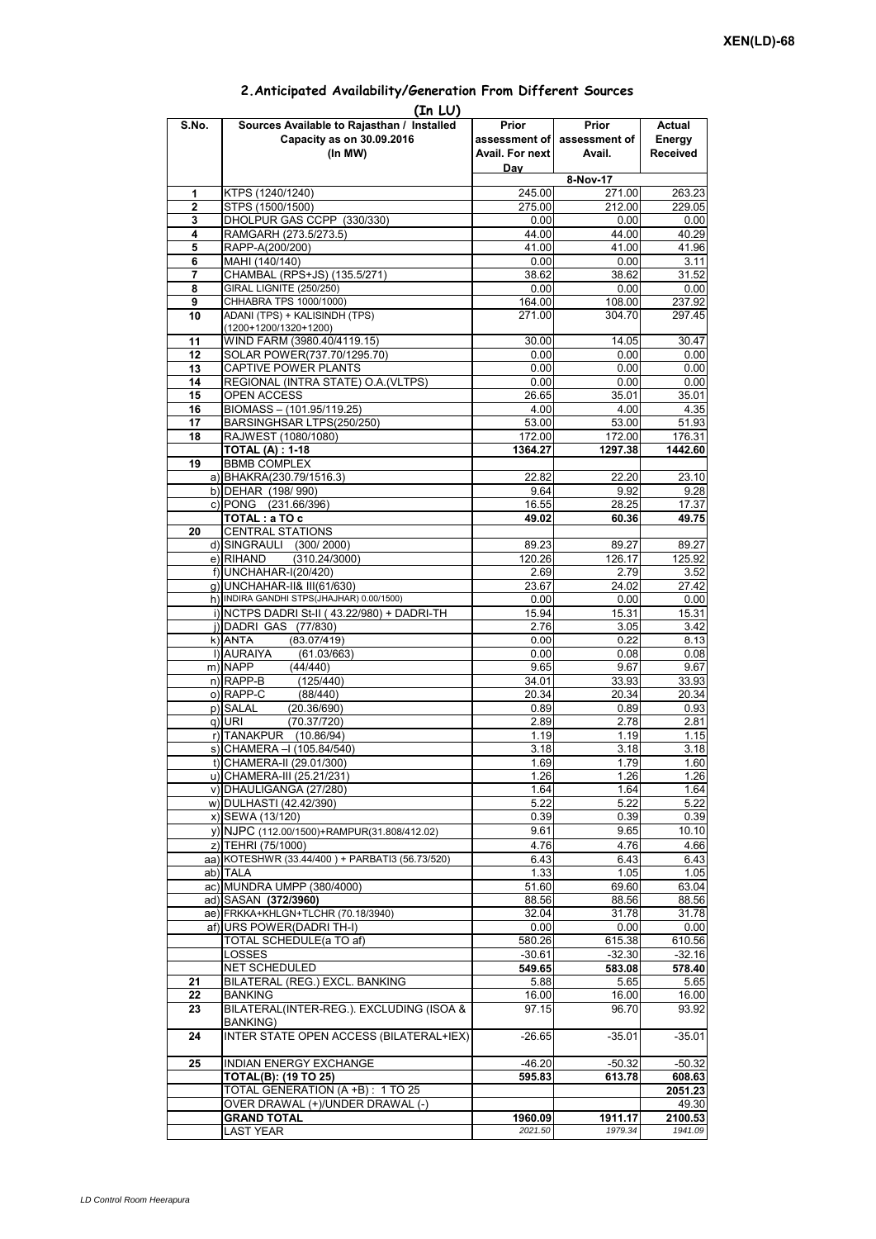| (In LU)             |                                                            |                  |                             |                  |  |  |  |  |  |
|---------------------|------------------------------------------------------------|------------------|-----------------------------|------------------|--|--|--|--|--|
| S.No.               | Sources Available to Rajasthan / Installed                 | Prior            | Prior                       | Actual           |  |  |  |  |  |
|                     | Capacity as on 30.09.2016                                  |                  | assessment of assessment of | Energy           |  |  |  |  |  |
|                     | (In MW)                                                    | Avail. For next  | Avail.                      | <b>Received</b>  |  |  |  |  |  |
|                     |                                                            | Day              |                             |                  |  |  |  |  |  |
|                     |                                                            |                  | 8-Nov-17                    |                  |  |  |  |  |  |
| 1<br>$\overline{2}$ | KTPS (1240/1240)<br>STPS (1500/1500)                       | 245.00<br>275.00 | 271.00<br>212.00            | 263.23<br>229.05 |  |  |  |  |  |
| 3                   | DHOLPUR GAS CCPP (330/330)                                 | 0.00             | 0.00                        | 0.00             |  |  |  |  |  |
| 4                   | RAMGARH (273.5/273.5)                                      | 44.00            | 44.00                       | 40.29            |  |  |  |  |  |
| 5                   | RAPP-A(200/200)                                            | 41.00            | 41.00                       | 41.96            |  |  |  |  |  |
| 6                   | MAHI (140/140)                                             | 0.00             | 0.00                        | 3.11             |  |  |  |  |  |
| 7                   | CHAMBAL (RPS+JS) (135.5/271)                               | 38.62            | 38.62                       | 31.52            |  |  |  |  |  |
| 8                   | <b>GIRAL LIGNITE (250/250)</b>                             | 0.00             | 0.00                        | 0.00             |  |  |  |  |  |
| 9                   | CHHABRA TPS 1000/1000)                                     | 164.00           | 108.00                      | 237.92           |  |  |  |  |  |
| 10                  | ADANI (TPS) + KALISINDH (TPS)                              | 271.00           | 304.70                      | 297.45           |  |  |  |  |  |
|                     | (1200+1200/1320+1200)                                      |                  |                             |                  |  |  |  |  |  |
| 11                  | WIND FARM (3980.40/4119.15)                                | 30.00            | 14.05                       | 30.47            |  |  |  |  |  |
| 12                  | SOLAR POWER(737.70/1295.70)<br>CAPTIVE POWER PLANTS        | 0.00             | 0.00                        | 0.00             |  |  |  |  |  |
| 13<br>14            | REGIONAL (INTRA STATE) O.A. (VLTPS)                        | 0.00<br>0.00     | 0.00<br>0.00                | 0.00<br>0.00     |  |  |  |  |  |
| 15                  | OPEN ACCESS                                                | 26.65            | 35.01                       | 35.01            |  |  |  |  |  |
| 16                  | BIOMASS - (101.95/119.25)                                  | 4.00             | 4.00                        | 4.35             |  |  |  |  |  |
| 17                  | BARSINGHSAR LTPS(250/250)                                  | 53.00            | 53.00                       | 51.93            |  |  |  |  |  |
| 18                  | RAJWEST (1080/1080)                                        | 172.00           | 172.00                      | 176.31           |  |  |  |  |  |
|                     | <b>TOTAL (A): 1-18</b>                                     | 1364.27          | 1297.38                     | 1442.60          |  |  |  |  |  |
| 19                  | <b>BBMB COMPLEX</b>                                        |                  |                             |                  |  |  |  |  |  |
|                     | a) BHAKRA(230.79/1516.3)                                   | 22.82            | 22.20                       | 23.10            |  |  |  |  |  |
|                     | b) DEHAR (198/990)                                         | 9.64             | 9.92                        | 9.28             |  |  |  |  |  |
|                     | c) PONG (231.66/396)                                       | 16.55            | 28.25                       | 17.37            |  |  |  |  |  |
|                     | TOTAL: a TO c                                              | 49.02            | 60.36                       | 49.75            |  |  |  |  |  |
| 20                  | <b>CENTRAL STATIONS</b><br>d) SINGRAULI (300/2000)         |                  |                             |                  |  |  |  |  |  |
|                     | e) RIHAND<br>(310.24/3000)                                 | 89.23<br>120.26  | 89.27<br>126.17             | 89.27<br>125.92  |  |  |  |  |  |
|                     | f) UNCHAHAR-I(20/420)                                      | 2.69             | 2.79                        | 3.52             |  |  |  |  |  |
|                     | g) UNCHAHAR-II& III(61/630)                                | 23.67            | 24.02                       | 27.42            |  |  |  |  |  |
|                     | h) INDIRA GANDHI STPS(JHAJHAR) 0.00/1500)                  | 0.00             | 0.00                        | 0.00             |  |  |  |  |  |
|                     | i) NCTPS DADRI St-II (43.22/980) + DADRI-TH                | 15.94            | 15.31                       | 15.31            |  |  |  |  |  |
|                     | j) DADRI GAS (77/830)                                      | 2.76             | 3.05                        | 3.42             |  |  |  |  |  |
|                     | $k)$ ANTA<br>(83.07/419)                                   | 0.00             | 0.22                        | 8.13             |  |  |  |  |  |
|                     | I) AURAIYA<br>(61.03/663)                                  | 0.00             | 0.08                        | 0.08             |  |  |  |  |  |
|                     | m) NAPP<br>(44/440)                                        | 9.65             | 9.67                        | 9.67             |  |  |  |  |  |
|                     | n) RAPP-B<br>(125/440)                                     | 34.01            | 33.93                       | 33.93            |  |  |  |  |  |
|                     | o) RAPP-C<br>(88/440)                                      | 20.34            | 20.34                       | 20.34            |  |  |  |  |  |
|                     | p) SALAL<br>(20.36/690)<br>q) URI<br>(70.37/720)           | 0.89<br>2.89     | 0.89<br>2.78                | 0.93<br>2.81     |  |  |  |  |  |
|                     | r) TANAKPUR (10.86/94)                                     | 1.19             | 1.19                        | 1.15             |  |  |  |  |  |
|                     | s) CHAMERA - (105.84/540)                                  | 3.18             | 3.18                        | 3.18             |  |  |  |  |  |
|                     | t) CHAMERA-II (29.01/300)                                  | 1.69             | 1.79                        | 1.60             |  |  |  |  |  |
|                     | u) CHAMERA-III (25.21/231)                                 | 1.26             | 1.26                        | 1.26             |  |  |  |  |  |
|                     | v) DHAULIGANGA (27/280)                                    | 1.64             | 1.64                        | 1.64             |  |  |  |  |  |
|                     | w) DULHASTI (42.42/390)                                    | 5.22             | 5.22                        | 5.22             |  |  |  |  |  |
|                     | x) SEWA (13/120)                                           | 0.39             | 0.39                        | 0.39             |  |  |  |  |  |
|                     | y) NJPC (112.00/1500) + RAMPUR(31.808/412.02)              | 9.61             | 9.65                        | 10.10            |  |  |  |  |  |
|                     | z) TEHRI (75/1000)                                         | 4.76             | 4.76                        | 4.66             |  |  |  |  |  |
|                     | aa) KOTESHWR (33.44/400) + PARBATI3 (56.73/520)            | 6.43             | 6.43                        | 6.43             |  |  |  |  |  |
|                     | ab) TALA                                                   | 1.33             | 1.05                        | 1.05             |  |  |  |  |  |
|                     | ac) MUNDRA UMPP (380/4000)                                 | 51.60            | 69.60                       | 63.04            |  |  |  |  |  |
|                     | ad) SASAN (372/3960)<br>ae) FRKKA+KHLGN+TLCHR (70.18/3940) | 88.56<br>32.04   | 88.56<br>31.78              | 88.56<br>31.78   |  |  |  |  |  |
|                     | af) URS POWER(DADRI TH-I)                                  | 0.00             | 0.00                        | 0.00             |  |  |  |  |  |
|                     | TOTAL SCHEDULE(a TO af)                                    | 580.26           | 615.38                      | 610.56           |  |  |  |  |  |
|                     | LOSSES                                                     | $-30.61$         | $-32.30$                    | $-32.16$         |  |  |  |  |  |
|                     | NET SCHEDULED                                              | 549.65           | 583.08                      | 578.40           |  |  |  |  |  |
| 21                  | BILATERAL (REG.) EXCL. BANKING                             | 5.88             | 5.65                        | 5.65             |  |  |  |  |  |
| 22                  | <b>BANKING</b>                                             | 16.00            | 16.00                       | 16.00            |  |  |  |  |  |
| 23                  | BILATERAL(INTER-REG.). EXCLUDING (ISOA &                   | 97.15            | 96.70                       | 93.92            |  |  |  |  |  |
| 24                  | BANKING)<br>INTER STATE OPEN ACCESS (BILATERAL+IEX)        | $-26.65$         | $-35.01$                    | $-35.01$         |  |  |  |  |  |
| 25                  | INDIAN ENERGY EXCHANGE                                     | $-46.20$         | $-50.32$                    | $-50.32$         |  |  |  |  |  |
|                     | <b>TOTAL(B): (19 TO 25)</b>                                | 595.83           | 613.78                      | 608.63           |  |  |  |  |  |
|                     | TOTAL GENERATION (A +B) : 1 TO 25                          |                  |                             | 2051.23          |  |  |  |  |  |
|                     | OVER DRAWAL (+)/UNDER DRAWAL (-)                           |                  |                             | 49.30            |  |  |  |  |  |
|                     | <b>GRAND TOTAL</b>                                         | 1960.09          | 1911.17                     | 2100.53          |  |  |  |  |  |
|                     | <b>LAST YEAR</b>                                           | 2021.50          | 1979.34                     | 1941.09          |  |  |  |  |  |

## **2.Anticipated Availability/Generation From Different Sources**